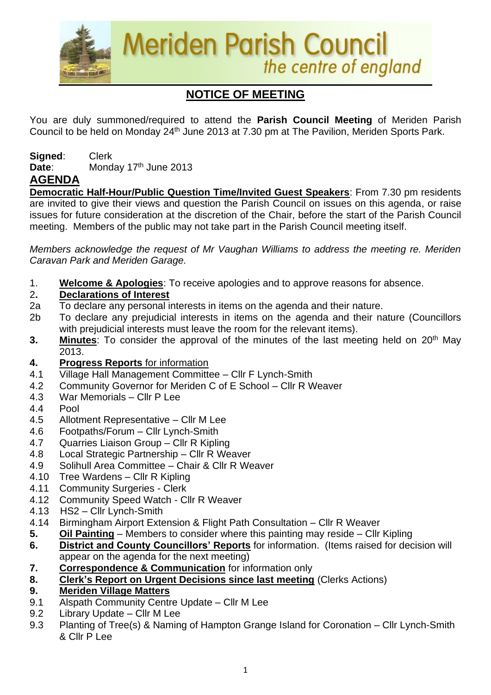

# **NOTICE OF MEETING**

You are duly summoned/required to attend the **Parish Council Meeting** of Meriden Parish Council to be held on Monday 24<sup>th</sup> June 2013 at 7.30 pm at The Pavilion, Meriden Sports Park.

**Signed**: Clerk Date: Monday 17<sup>th</sup> June 2013

# **AGENDA**

**Democratic Half-Hour/Public Question Time/Invited Guest Speakers**: From 7.30 pm residents are invited to give their views and question the Parish Council on issues on this agenda, or raise issues for future consideration at the discretion of the Chair, before the start of the Parish Council meeting. Members of the public may not take part in the Parish Council meeting itself.

*Members acknowledge the request of Mr Vaughan Williams to address the meeting re. Meriden Caravan Park and Meriden Garage.* 

1. **Welcome & Apologies**: To receive apologies and to approve reasons for absence.

## 2**. Declarations of Interest**

- 2a To declare any personal interests in items on the agenda and their nature.
- 2b To declare any prejudicial interests in items on the agenda and their nature (Councillors with prejudicial interests must leave the room for the relevant items).
- **3.** Minutes: To consider the approval of the minutes of the last meeting held on 20<sup>th</sup> May 2013.
- **4. Progress Reports** for information
- 4.1 Village Hall Management Committee Cllr F Lynch-Smith
- 4.2 Community Governor for Meriden C of E School Cllr R Weaver
- 4.3 War Memorials Cllr P Lee
- 4.4 Pool
- 4.5 Allotment Representative Cllr M Lee
- 4.6 Footpaths/Forum Cllr Lynch-Smith
- 4.7 Quarries Liaison Group Cllr R Kipling
- 4.8 Local Strategic Partnership Cllr R Weaver
- 4.9 Solihull Area Committee Chair & Cllr R Weaver
- 4.10 Tree Wardens Cllr R Kipling
- 4.11 Community Surgeries Clerk
- 4.12 Community Speed Watch Cllr R Weaver
- 4.13 HS2 Cllr Lynch-Smith
- 4.14 Birmingham Airport Extension & Flight Path Consultation Cllr R Weaver
- **5. Oil Painting** Members to consider where this painting may reside Cllr Kipling
- **6. District and County Councillors' Reports** for information. (Items raised for decision will appear on the agenda for the next meeting)
- **7. Correspondence & Communication** for information only
- **8. Clerk's Report on Urgent Decisions since last meeting** (Clerks Actions)
- **9. Meriden Village Matters**
- 9.1 Alspath Community Centre Update Cllr M Lee
- 9.2 Library Update Cllr M Lee
- 9.3 Planting of Tree(s) & Naming of Hampton Grange Island for Coronation Cllr Lynch-Smith & Cllr P Lee